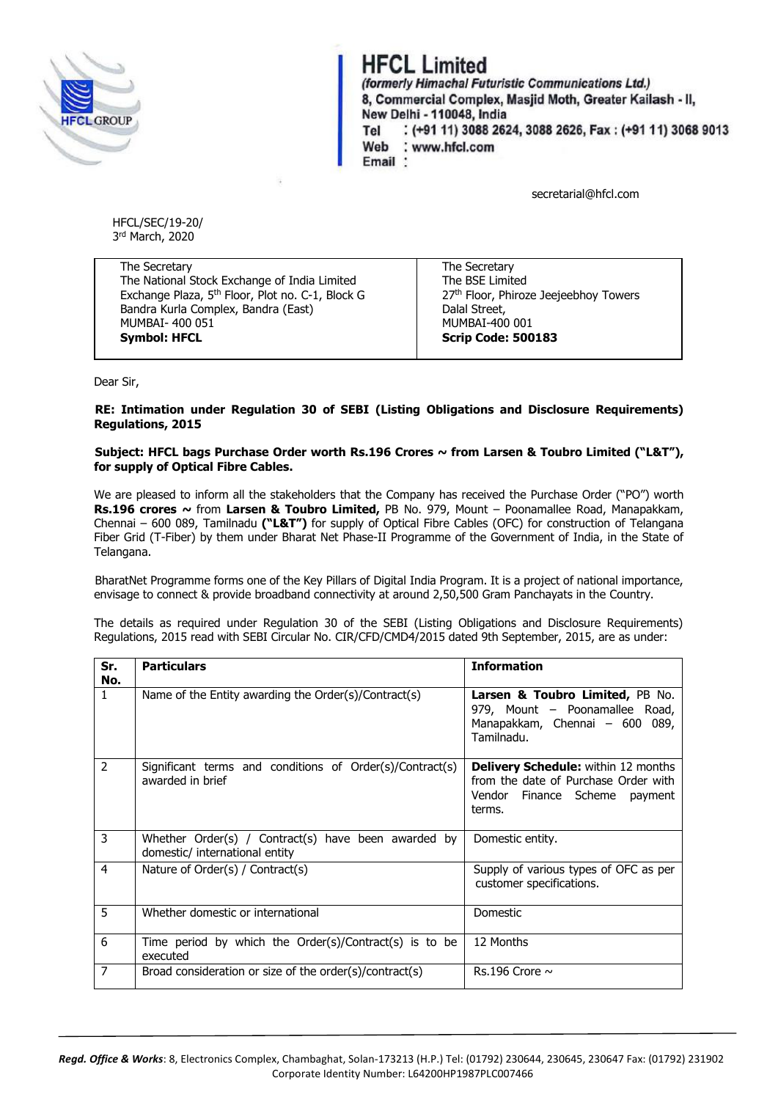

## **HFCL Limited**

(formerly Himachal Futuristic Communications Ltd.) 8. Commercial Complex. Masjid Moth. Greater Kailash - II. New Delhi - 110048, India : (+91 11) 3088 2624, 3088 2626, Fax: (+91 11) 3068 9013 Tel Web : www.hfcl.com Email \*

secretarial@hfcl.com

HFCL/SEC/19-20/ 3 rd March, 2020

The Secretary The National Stock Exchange of India Limited Exchange Plaza, 5th Floor, Plot no. C-1, Block G Bandra Kurla Complex, Bandra (East) MUMBAI- 400 051 **Symbol: HFCL**

The Secretary The BSE Limited 27<sup>th</sup> Floor, Phiroze Jeejeebhoy Towers Dalal Street, MUMBAI-400 001 **Scrip Code: 500183**

Dear Sir,

## **RE: Intimation under Regulation 30 of SEBI (Listing Obligations and Disclosure Requirements) Regulations, 2015**

## **Subject: HFCL bags Purchase Order worth Rs.196 Crores ~ from Larsen & Toubro Limited ("L&T"), for supply of Optical Fibre Cables.**

We are pleased to inform all the stakeholders that the Company has received the Purchase Order ("PO") worth **Rs.196 crores ~** from **Larsen & Toubro Limited,** PB No. 979, Mount – Poonamallee Road, Manapakkam, Chennai – 600 089, Tamilnadu **("L&T")** for supply of Optical Fibre Cables (OFC) for construction of Telangana Fiber Grid (T-Fiber) by them under Bharat Net Phase-II Programme of the Government of India, in the State of Telangana.

BharatNet Programme forms one of the Key Pillars of Digital India Program. It is a project of national importance, envisage to connect & provide broadband connectivity at around 2,50,500 Gram Panchayats in the Country.

The details as required under Regulation 30 of the SEBI (Listing Obligations and Disclosure Requirements) Regulations, 2015 read with SEBI Circular No. CIR/CFD/CMD4/2015 dated 9th September, 2015, are as under:

| Sr.<br>No.     | <b>Particulars</b>                                                                    | <b>Information</b>                                                                                                            |
|----------------|---------------------------------------------------------------------------------------|-------------------------------------------------------------------------------------------------------------------------------|
| 1              | Name of the Entity awarding the Order(s)/Contract(s)                                  | Larsen & Toubro Limited, PB No.<br>979, Mount - Poonamallee Road,<br>Manapakkam, Chennai - 600 089,<br>Tamilnadu.             |
| $\overline{2}$ | Significant terms and conditions of Order(s)/Contract(s)<br>awarded in brief          | <b>Delivery Schedule:</b> within 12 months<br>from the date of Purchase Order with<br>Vendor Finance Scheme payment<br>terms. |
| 3              | Whether Order(s) / Contract(s) have been awarded by<br>domestic/ international entity | Domestic entity.                                                                                                              |
| 4              | Nature of Order(s) / Contract(s)                                                      | Supply of various types of OFC as per<br>customer specifications.                                                             |
| 5              | Whether domestic or international                                                     | <b>Domestic</b>                                                                                                               |
| 6              | Time period by which the $Order(s)/Contract(s)$ is to be<br>executed                  | 12 Months                                                                                                                     |
| $\overline{7}$ | Broad consideration or size of the order(s)/contract(s)                               | Rs.196 Crore $\sim$                                                                                                           |